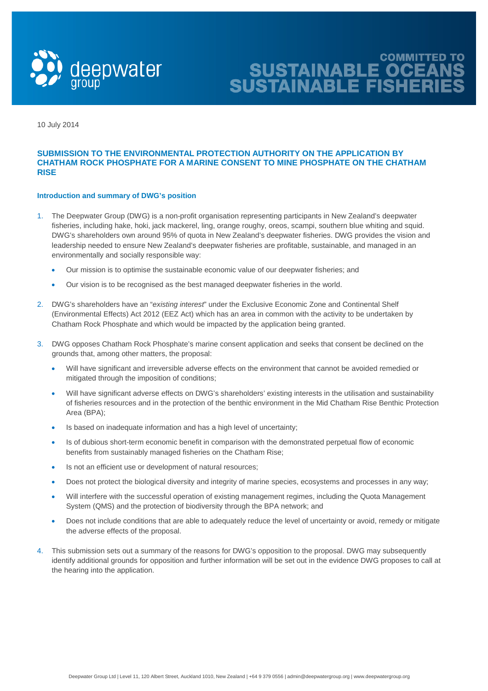

SUSTAINABLE OCEANS<br>SUSTAINABLE FISHERIES

10 July 2014

# **SUBMISSION TO THE ENVIRONMENTAL PROTECTION AUTHORITY ON THE APPLICATION BY CHATHAM ROCK PHOSPHATE FOR A MARINE CONSENT TO MINE PHOSPHATE ON THE CHATHAM RISE**

## **Introduction and summary of DWG's position**

- 1. The Deepwater Group (DWG) is a non-profit organisation representing participants in New Zealand's deepwater fisheries, including hake, hoki, jack mackerel, ling, orange roughy, oreos, scampi, southern blue whiting and squid. DWG's shareholders own around 95% of quota in New Zealand's deepwater fisheries. DWG provides the vision and leadership needed to ensure New Zealand's deepwater fisheries are profitable, sustainable, and managed in an environmentally and socially responsible way:
	- Our mission is to optimise the sustainable economic value of our deepwater fisheries; and
	- Our vision is to be recognised as the best managed deepwater fisheries in the world.
- 2. DWG's shareholders have an "*existing interest*" under the Exclusive Economic Zone and Continental Shelf (Environmental Effects) Act 2012 (EEZ Act) which has an area in common with the activity to be undertaken by Chatham Rock Phosphate and which would be impacted by the application being granted.
- 3. DWG opposes Chatham Rock Phosphate's marine consent application and seeks that consent be declined on the grounds that, among other matters, the proposal:
	- Will have significant and irreversible adverse effects on the environment that cannot be avoided remedied or mitigated through the imposition of conditions;
	- Will have significant adverse effects on DWG's shareholders' existing interests in the utilisation and sustainability of fisheries resources and in the protection of the benthic environment in the Mid Chatham Rise Benthic Protection Area (BPA);
	- Is based on inadequate information and has a high level of uncertainty;
	- Is of dubious short-term economic benefit in comparison with the demonstrated perpetual flow of economic benefits from sustainably managed fisheries on the Chatham Rise;
	- Is not an efficient use or development of natural resources;
	- Does not protect the biological diversity and integrity of marine species, ecosystems and processes in any way;
	- Will interfere with the successful operation of existing management regimes, including the Quota Management System (QMS) and the protection of biodiversity through the BPA network; and
	- Does not include conditions that are able to adequately reduce the level of uncertainty or avoid, remedy or mitigate the adverse effects of the proposal.
- 4. This submission sets out a summary of the reasons for DWG's opposition to the proposal. DWG may subsequently identify additional grounds for opposition and further information will be set out in the evidence DWG proposes to call at the hearing into the application.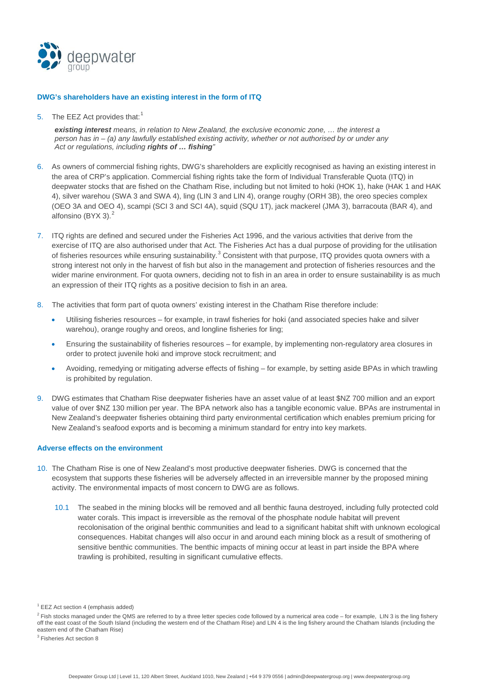

### **DWG's shareholders have an existing interest in the form of ITQ**

5. The EEZ Act provides that:<sup>[1](#page-1-0)</sup>

*existing interest means, in relation to New Zealand, the exclusive economic zone, … the interest a person has in – (a) any lawfully established existing activity, whether or not authorised by or under any Act or regulations, including rights of … fishing"*

- 6. As owners of commercial fishing rights, DWG's shareholders are explicitly recognised as having an existing interest in the area of CRP's application. Commercial fishing rights take the form of Individual Transferable Quota (ITQ) in deepwater stocks that are fished on the Chatham Rise, including but not limited to hoki (HOK 1), hake (HAK 1 and HAK 4), silver warehou (SWA 3 and SWA 4), ling (LIN 3 and LIN 4), orange roughy (ORH 3B), the oreo species complex (OEO 3A and OEO 4), scampi (SCI 3 and SCI 4A), squid (SQU 1T), jack mackerel (JMA 3), barracouta (BAR 4), and alfonsino (BYX 3). $<sup>2</sup>$  $<sup>2</sup>$  $<sup>2</sup>$ </sup>
- 7. ITQ rights are defined and secured under the Fisheries Act 1996, and the various activities that derive from the exercise of ITQ are also authorised under that Act. The Fisheries Act has a dual purpose of providing for the utilisation of fisheries resources while ensuring sustainability.<sup>[3](#page-1-2)</sup> Consistent with that purpose, ITQ provides quota owners with a strong interest not only in the harvest of fish but also in the management and protection of fisheries resources and the wider marine environment. For quota owners, deciding not to fish in an area in order to ensure sustainability is as much an expression of their ITQ rights as a positive decision to fish in an area.
- 8. The activities that form part of quota owners' existing interest in the Chatham Rise therefore include:
	- Utilising fisheries resources for example, in trawl fisheries for hoki (and associated species hake and silver warehou), orange roughy and oreos, and longline fisheries for ling;
	- Ensuring the sustainability of fisheries resources for example, by implementing non-regulatory area closures in order to protect juvenile hoki and improve stock recruitment; and
	- Avoiding, remedying or mitigating adverse effects of fishing for example, by setting aside BPAs in which trawling is prohibited by regulation.
- 9. DWG estimates that Chatham Rise deepwater fisheries have an asset value of at least \$NZ 700 million and an export value of over \$NZ 130 million per year. The BPA network also has a tangible economic value. BPAs are instrumental in New Zealand's deepwater fisheries obtaining third party environmental certification which enables premium pricing for New Zealand's seafood exports and is becoming a minimum standard for entry into key markets.

#### **Adverse effects on the environment**

- 10. The Chatham Rise is one of New Zealand's most productive deepwater fisheries. DWG is concerned that the ecosystem that supports these fisheries will be adversely affected in an irreversible manner by the proposed mining activity. The environmental impacts of most concern to DWG are as follows.
	- 10.1 The seabed in the mining blocks will be removed and all benthic fauna destroyed, including fully protected cold water corals. This impact is irreversible as the removal of the phosphate nodule habitat will prevent recolonisation of the original benthic communities and lead to a significant habitat shift with unknown ecological consequences. Habitat changes will also occur in and around each mining block as a result of smothering of sensitive benthic communities. The benthic impacts of mining occur at least in part inside the BPA where trawling is prohibited, resulting in significant cumulative effects.

<span id="page-1-0"></span> $1$  EEZ Act section 4 (emphasis added)

<span id="page-1-1"></span> $2$  Fish stocks managed under the QMS are referred to by a three letter species code followed by a numerical area code – for example, LIN 3 is the ling fishery off the east coast of the South Island (including the western end of the Chatham Rise) and LIN 4 is the ling fishery around the Chatham Islands (including the eastern end of the Chatham Rise)

<span id="page-1-2"></span><sup>3</sup> Fisheries Act section 8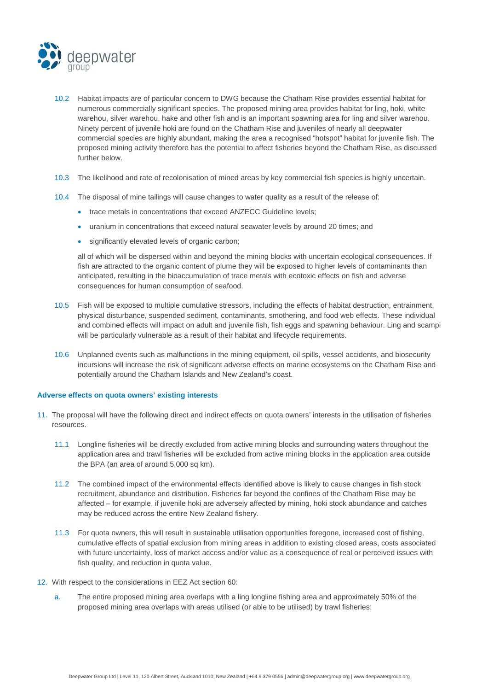

- 10.2 Habitat impacts are of particular concern to DWG because the Chatham Rise provides essential habitat for numerous commercially significant species. The proposed mining area provides habitat for ling, hoki, white warehou, silver warehou, hake and other fish and is an important spawning area for ling and silver warehou. Ninety percent of juvenile hoki are found on the Chatham Rise and juveniles of nearly all deepwater commercial species are highly abundant, making the area a recognised "hotspot" habitat for juvenile fish. The proposed mining activity therefore has the potential to affect fisheries beyond the Chatham Rise, as discussed further below.
- 10.3 The likelihood and rate of recolonisation of mined areas by key commercial fish species is highly uncertain.
- 10.4 The disposal of mine tailings will cause changes to water quality as a result of the release of:
	- trace metals in concentrations that exceed ANZECC Guideline levels;
	- uranium in concentrations that exceed natural seawater levels by around 20 times; and
	- significantly elevated levels of organic carbon;

all of which will be dispersed within and beyond the mining blocks with uncertain ecological consequences. If fish are attracted to the organic content of plume they will be exposed to higher levels of contaminants than anticipated, resulting in the bioaccumulation of trace metals with ecotoxic effects on fish and adverse consequences for human consumption of seafood.

- 10.5 Fish will be exposed to multiple cumulative stressors, including the effects of habitat destruction, entrainment, physical disturbance, suspended sediment, contaminants, smothering, and food web effects. These individual and combined effects will impact on adult and juvenile fish, fish eggs and spawning behaviour. Ling and scampi will be particularly vulnerable as a result of their habitat and lifecycle requirements.
- 10.6 Unplanned events such as malfunctions in the mining equipment, oil spills, vessel accidents, and biosecurity incursions will increase the risk of significant adverse effects on marine ecosystems on the Chatham Rise and potentially around the Chatham Islands and New Zealand's coast.

#### **Adverse effects on quota owners' existing interests**

- 11. The proposal will have the following direct and indirect effects on quota owners' interests in the utilisation of fisheries resources.
	- 11.1 Longline fisheries will be directly excluded from active mining blocks and surrounding waters throughout the application area and trawl fisheries will be excluded from active mining blocks in the application area outside the BPA (an area of around 5,000 sq km).
	- 11.2 The combined impact of the environmental effects identified above is likely to cause changes in fish stock recruitment, abundance and distribution. Fisheries far beyond the confines of the Chatham Rise may be affected – for example, if juvenile hoki are adversely affected by mining, hoki stock abundance and catches may be reduced across the entire New Zealand fishery.
	- 11.3 For quota owners, this will result in sustainable utilisation opportunities foregone, increased cost of fishing, cumulative effects of spatial exclusion from mining areas in addition to existing closed areas, costs associated with future uncertainty, loss of market access and/or value as a consequence of real or perceived issues with fish quality, and reduction in quota value.
- 12. With respect to the considerations in EEZ Act section 60:
	- a. The entire proposed mining area overlaps with a ling longline fishing area and approximately 50% of the proposed mining area overlaps with areas utilised (or able to be utilised) by trawl fisheries;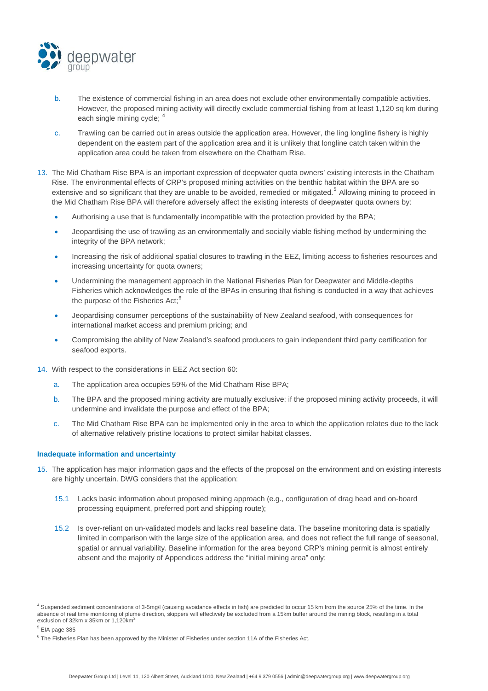

- b. The existence of commercial fishing in an area does not exclude other environmentally compatible activities. However, the proposed mining activity will directly exclude commercial fishing from at least 1,120 sq km during each single mining cycle; [4](#page-3-0)
- c. Trawling can be carried out in areas outside the application area. However, the ling longline fishery is highly dependent on the eastern part of the application area and it is unlikely that longline catch taken within the application area could be taken from elsewhere on the Chatham Rise.
- 13. The Mid Chatham Rise BPA is an important expression of deepwater quota owners' existing interests in the Chatham Rise. The environmental effects of CRP's proposed mining activities on the benthic habitat within the BPA are so extensive and so significant that they are unable to be avoided, remedied or mitigated.<sup>[5](#page-3-1)</sup> Allowing mining to proceed in the Mid Chatham Rise BPA will therefore adversely affect the existing interests of deepwater quota owners by:
	- Authorising a use that is fundamentally incompatible with the protection provided by the BPA;
	- Jeopardising the use of trawling as an environmentally and socially viable fishing method by undermining the integrity of the BPA network;
	- Increasing the risk of additional spatial closures to trawling in the EEZ, limiting access to fisheries resources and increasing uncertainty for quota owners;
	- Undermining the management approach in the National Fisheries Plan for Deepwater and Middle-depths Fisheries which acknowledges the role of the BPAs in ensuring that fishing is conducted in a way that achieves the purpose of the Fisheries Act;<sup>[6](#page-3-2)</sup>
	- Jeopardising consumer perceptions of the sustainability of New Zealand seafood, with consequences for international market access and premium pricing; and
	- Compromising the ability of New Zealand's seafood producers to gain independent third party certification for seafood exports.
- 14. With respect to the considerations in EEZ Act section 60:
	- a. The application area occupies 59% of the Mid Chatham Rise BPA;
	- b. The BPA and the proposed mining activity are mutually exclusive: if the proposed mining activity proceeds, it will undermine and invalidate the purpose and effect of the BPA;
	- c. The Mid Chatham Rise BPA can be implemented only in the area to which the application relates due to the lack of alternative relatively pristine locations to protect similar habitat classes.

# **Inadequate information and uncertainty**

- 15. The application has major information gaps and the effects of the proposal on the environment and on existing interests are highly uncertain. DWG considers that the application:
	- 15.1 Lacks basic information about proposed mining approach (e.g., configuration of drag head and on-board processing equipment, preferred port and shipping route);
	- 15.2 Is over-reliant on un-validated models and lacks real baseline data. The baseline monitoring data is spatially limited in comparison with the large size of the application area, and does not reflect the full range of seasonal, spatial or annual variability. Baseline information for the area beyond CRP's mining permit is almost entirely absent and the majority of Appendices address the "initial mining area" only;

<span id="page-3-1"></span> $<sup>5</sup>$  EIA page 385</sup>

<span id="page-3-0"></span><sup>&</sup>lt;sup>4</sup> Suspended sediment concentrations of 3-5mg/l (causing avoidance effects in fish) are predicted to occur 15 km from the source 25% of the time. In the absence of real time monitoring of plume direction, skippers will effectively be excluded from a 15km buffer around the mining block, resulting in a total exclusion of  $32km \times 35km$  or  $1,120km^2$ 

<span id="page-3-2"></span><sup>&</sup>lt;sup>6</sup> The Fisheries Plan has been approved by the Minister of Fisheries under section 11A of the Fisheries Act.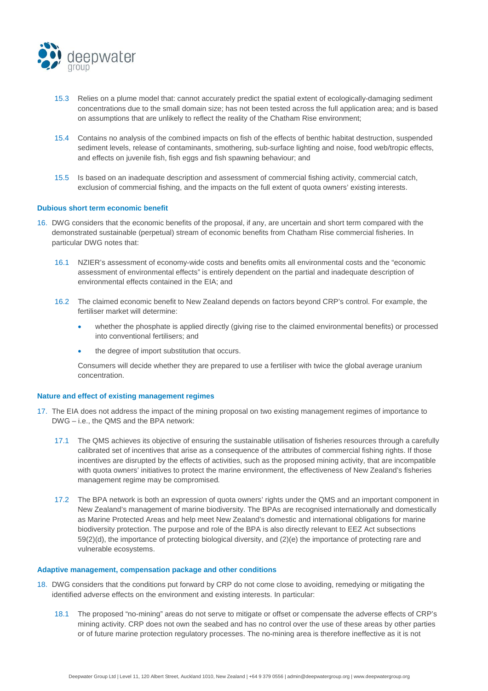

- 15.3 Relies on a plume model that: cannot accurately predict the spatial extent of ecologically-damaging sediment concentrations due to the small domain size; has not been tested across the full application area; and is based on assumptions that are unlikely to reflect the reality of the Chatham Rise environment;
- 15.4 Contains no analysis of the combined impacts on fish of the effects of benthic habitat destruction, suspended sediment levels, release of contaminants, smothering, sub-surface lighting and noise, food web/tropic effects, and effects on juvenile fish, fish eggs and fish spawning behaviour; and
- 15.5 Is based on an inadequate description and assessment of commercial fishing activity, commercial catch, exclusion of commercial fishing, and the impacts on the full extent of quota owners' existing interests.

## **Dubious short term economic benefit**

- 16. DWG considers that the economic benefits of the proposal, if any, are uncertain and short term compared with the demonstrated sustainable (perpetual) stream of economic benefits from Chatham Rise commercial fisheries. In particular DWG notes that:
	- 16.1 NZIER's assessment of economy-wide costs and benefits omits all environmental costs and the "economic assessment of environmental effects" is entirely dependent on the partial and inadequate description of environmental effects contained in the EIA; and
	- 16.2 The claimed economic benefit to New Zealand depends on factors beyond CRP's control. For example, the fertiliser market will determine:
		- whether the phosphate is applied directly (giving rise to the claimed environmental benefits) or processed into conventional fertilisers; and
		- the degree of import substitution that occurs.

Consumers will decide whether they are prepared to use a fertiliser with twice the global average uranium concentration.

#### **Nature and effect of existing management regimes**

- 17. The EIA does not address the impact of the mining proposal on two existing management regimes of importance to DWG – i.e., the QMS and the BPA network:
	- 17.1 The QMS achieves its objective of ensuring the sustainable utilisation of fisheries resources through a carefully calibrated set of incentives that arise as a consequence of the attributes of commercial fishing rights. If those incentives are disrupted by the effects of activities, such as the proposed mining activity, that are incompatible with quota owners' initiatives to protect the marine environment, the effectiveness of New Zealand's fisheries management regime may be compromised*.*
	- 17.2 The BPA network is both an expression of quota owners' rights under the QMS and an important component in New Zealand's management of marine biodiversity. The BPAs are recognised internationally and domestically as Marine Protected Areas and help meet New Zealand's domestic and international obligations for marine biodiversity protection. The purpose and role of the BPA is also directly relevant to EEZ Act subsections 59(2)(d), the importance of protecting biological diversity, and (2)(e) the importance of protecting rare and vulnerable ecosystems.

### **Adaptive management, compensation package and other conditions**

- 18. DWG considers that the conditions put forward by CRP do not come close to avoiding, remedying or mitigating the identified adverse effects on the environment and existing interests. In particular:
	- 18.1 The proposed "no-mining" areas do not serve to mitigate or offset or compensate the adverse effects of CRP's mining activity. CRP does not own the seabed and has no control over the use of these areas by other parties or of future marine protection regulatory processes. The no-mining area is therefore ineffective as it is not